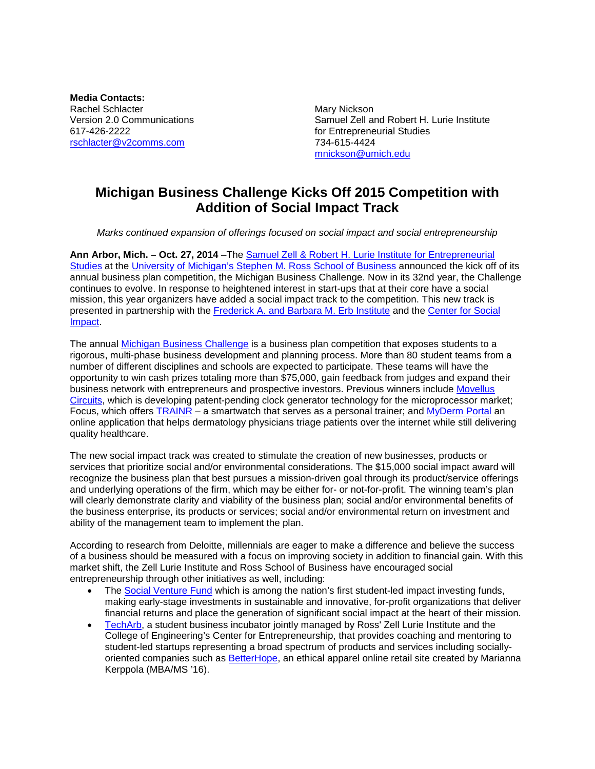**Media Contacts:** Rachel Schlacter<br>
Version 2.0 Communications<br>
Version 2.0 Communications<br>
Mary Nickson  $617-426-2222$ <br>  $617-426-2222$ <br>  $617-426-2222$ <br>  $617-424-615-4424$ <br>  $617-424-615-4424$ [rschlacter@v2comms.com](mailto:kholbrook@v2comms.com)

Samuel Zell and Robert H. Lurie Institute [mnickson@umich.edu](mailto:mnickson@umich.edu)

## **Michigan Business Challenge Kicks Off 2015 Competition with Addition of Social Impact Track**

*Marks continued expansion of offerings focused on social impact and social entrepreneurship*

**Ann Arbor, Mich. – Oct. 27, 2014** –The [Samuel Zell & Robert H. Lurie Institute for Entrepreneurial](http://www.zli.bus.umich.edu/index.asp)  [Studies](http://www.zli.bus.umich.edu/index.asp) at the University of Michigan's [Stephen M. Ross School of Business](http://michiganross.umich.edu/) announced the kick off of its annual business plan competition, the Michigan Business Challenge. Now in its 32nd year, the Challenge continues to evolve. In response to heightened interest in start-ups that at their core have a social mission, this year organizers have added a social impact track to the competition. This new track is presented in partnership with the [Frederick A. and Barbara M. Erb Institute](http://erb.umich.edu/) and the [Center for Social](http://socialimpact.umich.edu/)  **[Impact.](http://socialimpact.umich.edu/)** 

The annual [Michigan Business Challenge](http://www.zli.bus.umich.edu/events_programs/busplan_competition.asp) is a business plan competition that exposes students to a rigorous, multi-phase business development and planning process. More than 80 student teams from a number of different disciplines and schools are expected to participate. These teams will have the opportunity to win cash prizes totaling more than \$75,000, gain feedback from judges and expand their business network with entrepreneurs and prospective investors. Previous winners include [Movellus](http://movelluscircuits.com/)  [Circuits,](http://movelluscircuits.com/) which is developing patent-pending clock generator technology for the microprocessor market; Focus, which offers **TRAINR** – a smartwatch that serves as a personal trainer; and [MyDerm Portal](http://www.mydermportal.com/) an online application that helps dermatology physicians triage patients over the internet while still delivering quality healthcare.

The new social impact track was created to stimulate the creation of new businesses, products or services that prioritize social and/or environmental considerations. The \$15,000 social impact award will recognize the business plan that best pursues a mission-driven goal through its product/service offerings and underlying operations of the firm, which may be either for- or not-for-profit. The winning team's plan will clearly demonstrate clarity and viability of the business plan; social and/or environmental benefits of the business enterprise, its products or services; social and/or environmental return on investment and ability of the management team to implement the plan.

According to research from Deloitte, millennials are eager to make a difference and believe the success of a business should be measured with a focus on improving society in addition to financial gain. With this market shift, the Zell Lurie Institute and Ross School of Business have encouraged social entrepreneurship through other initiatives as well, including:

- The [Social Venture Fund](http://www.umsocialventure.com/) which is among the nation's first student-led impact investing funds, making early-stage investments in sustainable and innovative, for-profit organizations that deliver financial returns and place the generation of significant social impact at the heart of their mission.
- [TechArb,](http://www.cfe.umich.edu/techarb/) a student business incubator jointly managed by Ross' Zell Lurie Institute and the College of Engineering's Center for Entrepreneurship, that provides coaching and mentoring to student-led startups representing a broad spectrum of products and services including socially-oriented companies such as [BetterHope,](http://betterhope.is/) an ethical apparel online retail site created by Marianna Kerppola (MBA/MS '16).